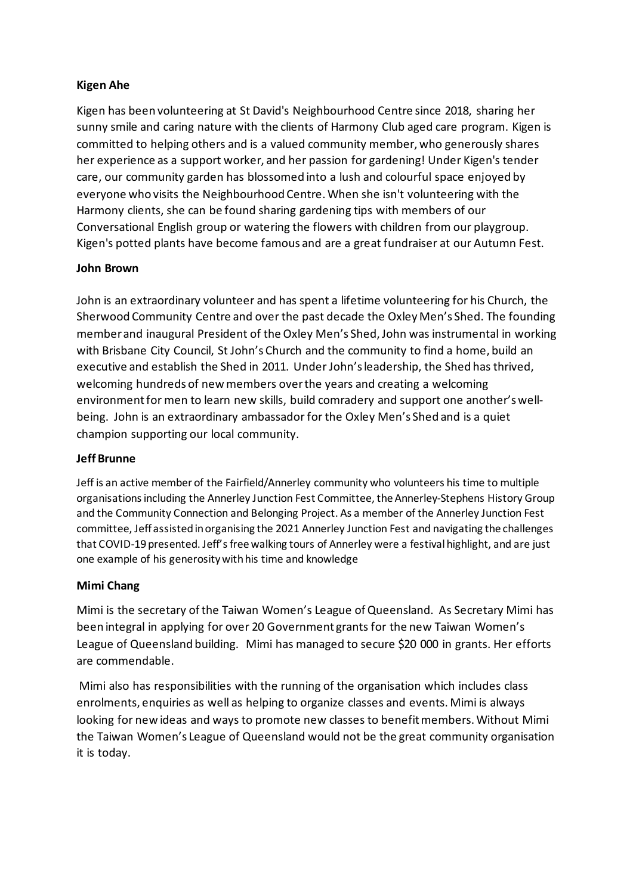### **Kigen Ahe**

Kigen has been volunteering at St David's Neighbourhood Centre since 2018, sharing her sunny smile and caring nature with the clients of Harmony Club aged care program. Kigen is committed to helping others and is a valued community member, who generously shares her experience as a support worker, and her passion for gardening! Under Kigen's tender care, our community garden has blossomed into a lush and colourful space enjoyed by everyone who visits the Neighbourhood Centre. When she isn't volunteering with the Harmony clients, she can be found sharing gardening tips with members of our Conversational English group or watering the flowers with children from our playgroup. Kigen's potted plants have become famous and are a great fundraiser at our Autumn Fest.

#### **John Brown**

John is an extraordinary volunteer and has spent a lifetime volunteering for his Church, the Sherwood Community Centre and over the past decade the Oxley Men's Shed. The founding member and inaugural President of the Oxley Men's Shed, John was instrumental in working with Brisbane City Council, St John's Church and the community to find a home, build an executive and establish the Shed in 2011. Under John's leadership, the Shed has thrived, welcoming hundreds of new members over the years and creating a welcoming environment for men to learn new skills, build comradery and support one another's wellbeing. John is an extraordinary ambassador for the Oxley Men's Shed and is a quiet champion supporting our local community.

#### **Jeff Brunne**

Jeff is an active member of the Fairfield/Annerley community who volunteers his time to multiple organisations including the Annerley Junction Fest Committee, the Annerley-Stephens History Group and the Community Connection and Belonging Project. As a member of the Annerley Junction Fest committee, Jeff assisted in organising the 2021 Annerley Junction Fest and navigating the challenges that COVID-19 presented. Jeff's free walking tours of Annerley were a festival highlight, and are just one example of his generosity with his time and knowledge

## **Mimi Chang**

Mimi is the secretary of the Taiwan Women's League of Queensland. As Secretary Mimi has been integral in applying for over 20 Government grants for the new Taiwan Women's League of Queensland building. Mimi has managed to secure \$20 000 in grants. Her efforts are commendable.

Mimi also has responsibilities with the running of the organisation which includes class enrolments, enquiries as well as helping to organize classes and events. Mimi is always looking for new ideas and ways to promote new classes to benefit members. Without Mimi the Taiwan Women's League of Queensland would not be the great community organisation it is today.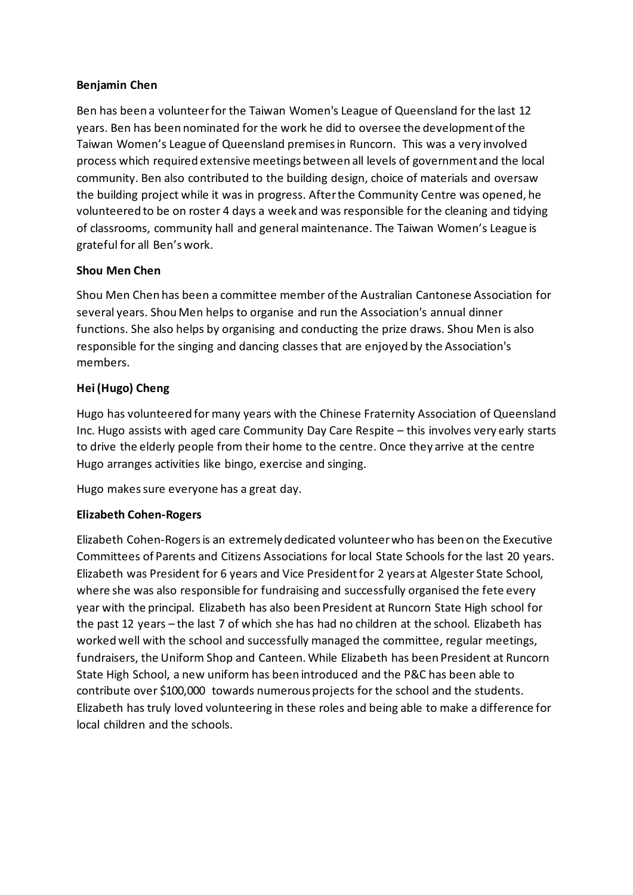### **Benjamin Chen**

Ben has been a volunteer for the Taiwan Women's League of Queensland for the last 12 years. Ben has been nominated for the work he did to oversee the development of the Taiwan Women's League of Queensland premises in Runcorn. This was a very involved process which required extensive meetings between all levels of government and the local community. Ben also contributed to the building design, choice of materials and oversaw the building project while it was in progress. After the Community Centre was opened, he volunteered to be on roster 4 days a week and was responsible for the cleaning and tidying of classrooms, community hall and general maintenance. The Taiwan Women's League is grateful for all Ben's work.

## **Shou Men Chen**

Shou Men Chen has been a committee member of the Australian Cantonese Association for several years. Shou Men helps to organise and run the Association's annual dinner functions. She also helps by organising and conducting the prize draws. Shou Men is also responsible for the singing and dancing classes that are enjoyed by the Association's members.

## **Hei (Hugo) Cheng**

Hugo has volunteered for many years with the Chinese Fraternity Association of Queensland Inc. Hugo assists with aged care Community Day Care Respite – this involves very early starts to drive the elderly people from their home to the centre. Once they arrive at the centre Hugo arranges activities like bingo, exercise and singing.

Hugo makes sure everyone has a great day.

## **Elizabeth Cohen-Rogers**

Elizabeth Cohen-Rogers is an extremely dedicated volunteer who has been on the Executive Committees of Parents and Citizens Associations for local State Schools for the last 20 years. Elizabeth was President for 6 years and Vice President for 2 years at Algester State School, where she was also responsible for fundraising and successfully organised the fete every year with the principal. Elizabeth has also been President at Runcorn State High school for the past 12 years – the last 7 of which she has had no children at the school. Elizabeth has worked well with the school and successfully managed the committee, regular meetings, fundraisers, the Uniform Shop and Canteen. While Elizabeth has been President at Runcorn State High School, a new uniform has been introduced and the P&C has been able to contribute over \$100,000 towards numerous projects for the school and the students. Elizabeth has truly loved volunteering in these roles and being able to make a difference for local children and the schools.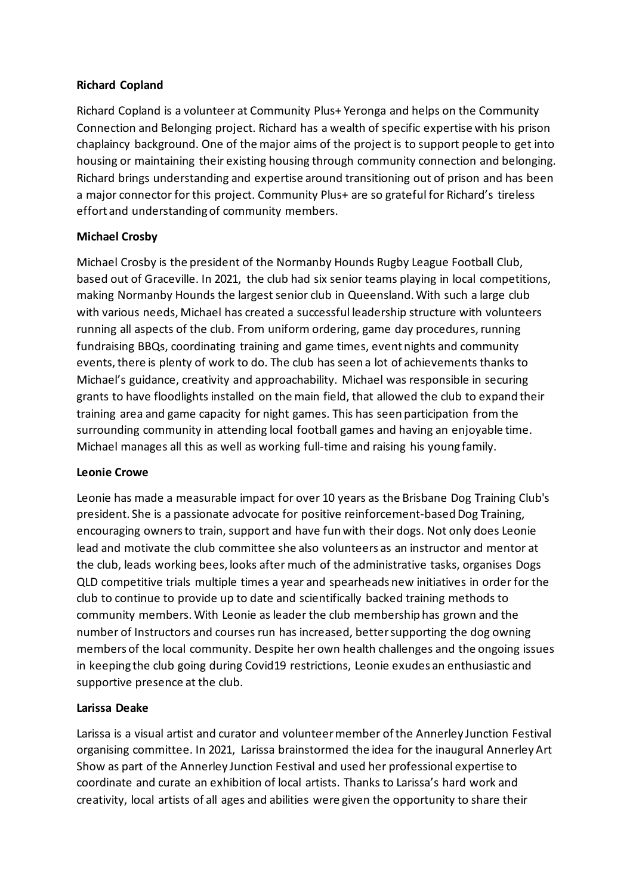#### **Richard Copland**

Richard Copland is a volunteer at Community Plus+ Yeronga and helps on the Community Connection and Belonging project. Richard has a wealth of specific expertise with his prison chaplaincy background. One of the major aims of the project is to support people to get into housing or maintaining their existing housing through community connection and belonging. Richard brings understanding and expertise around transitioning out of prison and has been a major connector for this project. Community Plus+ are so grateful for Richard's tireless effort and understanding of community members.

## **Michael Crosby**

Michael Crosby is the president of the Normanby Hounds Rugby League Football Club, based out of Graceville. In 2021, the club had six senior teams playing in local competitions, making Normanby Hounds the largest senior club in Queensland. With such a large club with various needs, Michael has created a successful leadership structure with volunteers running all aspects of the club. From uniform ordering, game day procedures, running fundraising BBQs, coordinating training and game times, event nights and community events, there is plenty of work to do. The club has seen a lot of achievements thanks to Michael's guidance, creativity and approachability. Michael was responsible in securing grants to have floodlights installed on the main field, that allowed the club to expand their training area and game capacity for night games. This has seen participation from the surrounding community in attending local football games and having an enjoyable time. Michael manages all this as well as working full-time and raising his young family.

## **Leonie Crowe**

Leonie has made a measurable impact for over 10 years as the Brisbane Dog Training Club's president. She is a passionate advocate for positive reinforcement-based Dog Training, encouraging owners to train, support and have fun with their dogs. Not only does Leonie lead and motivate the club committee she also volunteers as an instructor and mentor at the club, leads working bees, looks after much of the administrative tasks, organises Dogs QLD competitive trials multiple times a year and spearheads new initiatives in order for the club to continue to provide up to date and scientifically backed training methods to community members. With Leonie as leader the club membership has grown and the number of Instructors and courses run has increased, better supporting the dog owning members of the local community. Despite her own health challenges and the ongoing issues in keeping the club going during Covid19 restrictions, Leonie exudes an enthusiastic and supportive presence at the club.

## **Larissa Deake**

Larissa is a visual artist and curator and volunteer member of the Annerley Junction Festival organising committee. In 2021, Larissa brainstormed the idea for the inaugural Annerley Art Show as part of the Annerley Junction Festival and used her professional expertise to coordinate and curate an exhibition of local artists. Thanks to Larissa's hard work and creativity, local artists of all ages and abilities were given the opportunity to share their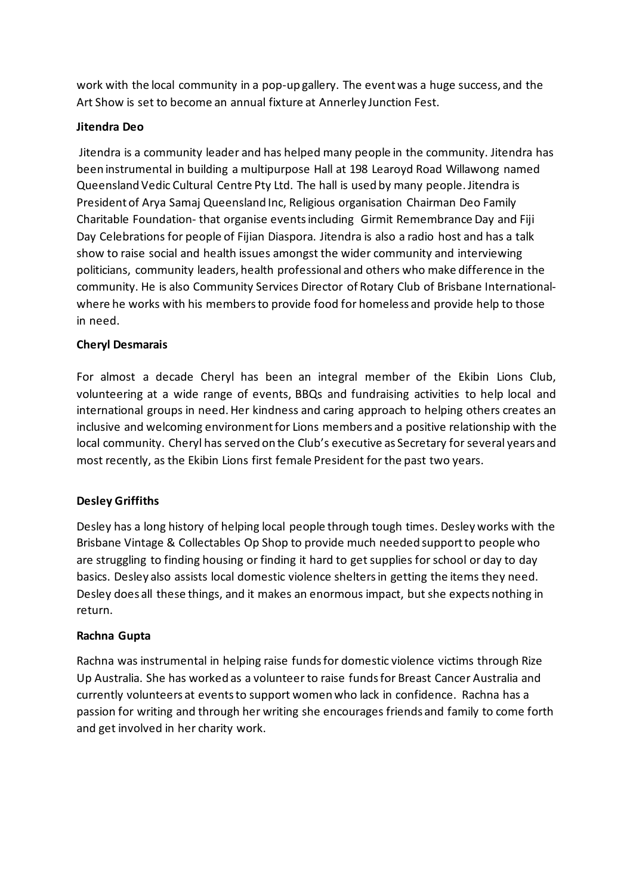work with the local community in a pop-up gallery. The event was a huge success, and the Art Show is set to become an annual fixture at Annerley Junction Fest.

## **Jitendra Deo**

Jitendra is a community leader and has helped many people in the community. Jitendra has been instrumental in building a multipurpose Hall at 198 Learoyd Road Willawong named Queensland Vedic Cultural Centre Pty Ltd. The hall is used by many people. Jitendra is President of Arya Samaj Queensland Inc, Religious organisation Chairman Deo Family Charitable Foundation- that organise events including Girmit Remembrance Day and Fiji Day Celebrations for people of Fijian Diaspora. Jitendra is also a radio host and has a talk show to raise social and health issues amongst the wider community and interviewing politicians, community leaders, health professional and others who make difference in the community. He is also Community Services Director of Rotary Club of Brisbane Internationalwhere he works with his members to provide food for homeless and provide help to those in need.

# **Cheryl Desmarais**

For almost a decade Cheryl has been an integral member of the Ekibin Lions Club, volunteering at a wide range of events, BBQs and fundraising activities to help local and international groups in need. Her kindness and caring approach to helping others creates an inclusive and welcoming environment for Lions members and a positive relationship with the local community. Cheryl has served on the Club's executive as Secretary for several years and most recently, as the Ekibin Lions first female President for the past two years.

# **Desley Griffiths**

Desley has a long history of helping local people through tough times. Desley works with the Brisbane Vintage & Collectables Op Shop to provide much needed support to people who are struggling to finding housing or finding it hard to get supplies for school or day to day basics. Desley also assists local domestic violence shelters in getting the items they need. Desley does all these things, and it makes an enormous impact, but she expects nothing in return.

## **Rachna Gupta**

Rachna was instrumental in helping raise funds for domestic violence victims through Rize Up Australia. She has worked as a volunteer to raise funds for Breast Cancer Australia and currently volunteers at events to support women who lack in confidence. Rachna has a passion for writing and through her writing she encourages friends and family to come forth and get involved in her charity work.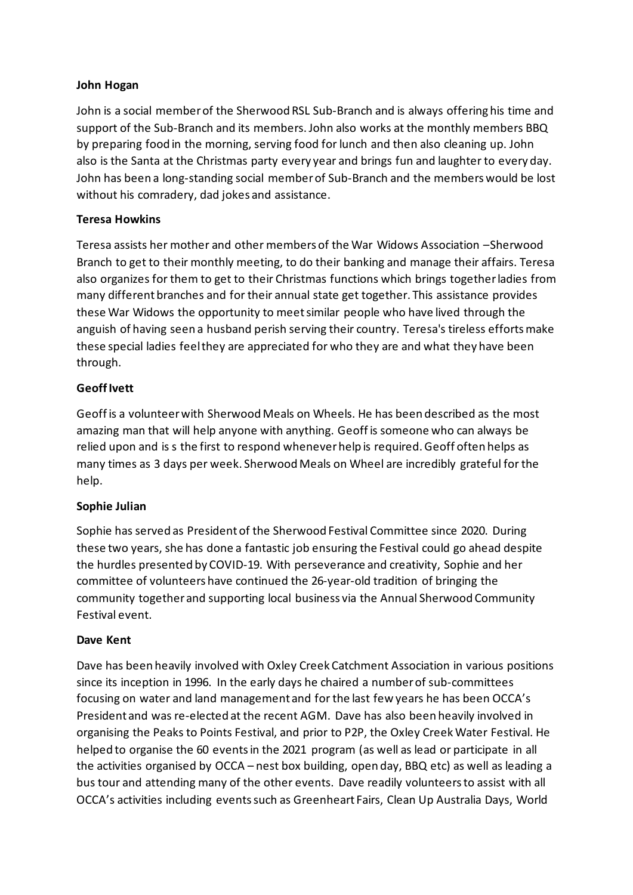### **John Hogan**

John is a social member of the Sherwood RSL Sub-Branch and is always offering his time and support of the Sub-Branch and its members. John also works at the monthly members BBQ by preparing food in the morning, serving food for lunch and then also cleaning up. John also is the Santa at the Christmas party every year and brings fun and laughter to every day. John has been a long-standing social member of Sub-Branch and the members would be lost without his comradery, dad jokes and assistance.

#### **Teresa Howkins**

Teresa assists her mother and other members of the War Widows Association –Sherwood Branch to get to their monthly meeting, to do their banking and manage their affairs. Teresa also organizes for them to get to their Christmas functions which brings together ladies from many different branches and for their annual state get together. This assistance provides these War Widows the opportunity to meet similar people who have lived through the anguish of having seen a husband perish serving their country. Teresa's tireless efforts make these special ladies feel they are appreciated for who they are and what they have been through.

#### **Geoff Ivett**

Geoff is a volunteer with Sherwood Meals on Wheels. He has been described as the most amazing man that will help anyone with anything. Geoff is someone who can always be relied upon and is s the first to respond whenever help is required. Geoff often helps as many times as 3 days per week. Sherwood Meals on Wheel are incredibly grateful for the help.

#### **Sophie Julian**

Sophie has served as President of the Sherwood Festival Committee since 2020. During these two years, she has done a fantastic job ensuring the Festival could go ahead despite the hurdles presented by COVID-19. With perseverance and creativity, Sophie and her committee of volunteers have continued the 26-year-old tradition of bringing the community together and supporting local business via the Annual Sherwood Community Festival event.

#### **Dave Kent**

Dave has been heavily involved with Oxley Creek Catchment Association in various positions since its inception in 1996. In the early days he chaired a number of sub-committees focusing on water and land management and for the last few years he has been OCCA's President and was re-elected at the recent AGM. Dave has also been heavily involved in organising the Peaks to Points Festival, and prior to P2P, the Oxley Creek Water Festival. He helped to organise the 60 events in the 2021 program (as well as lead or participate in all the activities organised by OCCA – nest box building, open day, BBQ etc) as well as leading a bus tour and attending many of the other events. Dave readily volunteers to assist with all OCCA's activities including events such as Greenheart Fairs, Clean Up Australia Days, World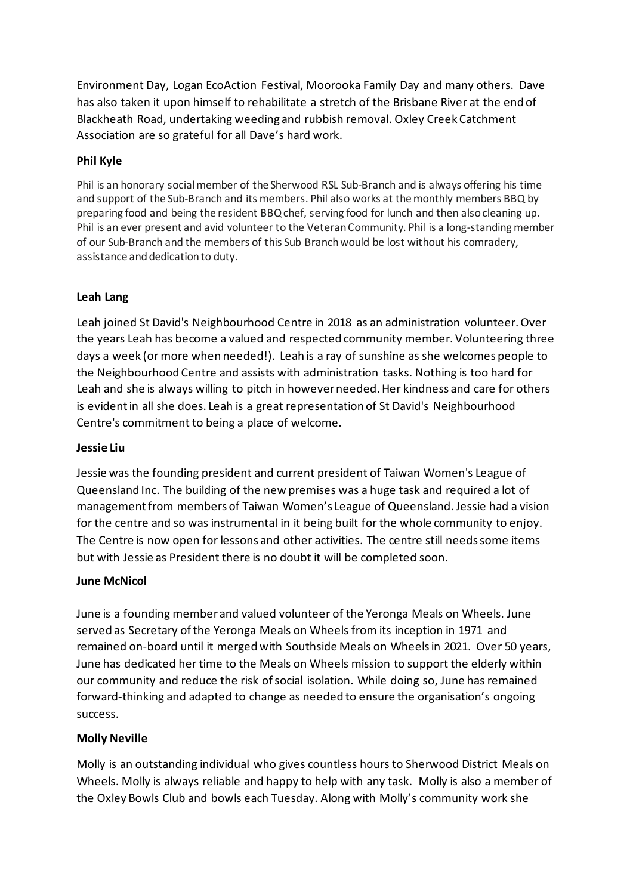Environment Day, Logan EcoAction Festival, Moorooka Family Day and many others. Dave has also taken it upon himself to rehabilitate a stretch of the Brisbane River at the end of Blackheath Road, undertaking weeding and rubbish removal. Oxley Creek Catchment Association are so grateful for all Dave's hard work.

## **Phil Kyle**

Phil is an honorary social member of the Sherwood RSL Sub-Branch and is always offering his time and support of the Sub-Branch and its members. Phil also works at the monthly members BBQ by preparing food and being the resident BBQ chef, serving food for lunch and then also cleaning up. Phil is an ever present and avid volunteer to the Veteran Community. Phil is a long-standing member of our Sub-Branch and the members of this Sub Branch would be lost without his comradery, assistance and dedication to duty.

# **Leah Lang**

Leah joined St David's Neighbourhood Centre in 2018 as an administration volunteer. Over the years Leah has become a valued and respected community member. Volunteering three days a week (or more when needed!). Leah is a ray of sunshine as she welcomes people to the Neighbourhood Centre and assists with administration tasks. Nothing is too hard for Leah and she is always willing to pitch in however needed. Her kindness and care for others is evident in all she does. Leah is a great representation of St David's Neighbourhood Centre's commitment to being a place of welcome.

## **Jessie Liu**

Jessie was the founding president and current president of Taiwan Women's League of Queensland Inc. The building of the new premises was a huge task and required a lot of management from members of Taiwan Women's League of Queensland. Jessie had a vision for the centre and so was instrumental in it being built for the whole community to enjoy. The Centre is now open for lessons and other activities. The centre still needs some items but with Jessie as President there is no doubt it will be completed soon.

## **June McNicol**

June is a founding member and valued volunteer of the Yeronga Meals on Wheels. June served as Secretary of the Yeronga Meals on Wheels from its inception in 1971 and remained on-board until it merged with Southside Meals on Wheels in 2021. Over 50 years, June has dedicated her time to the Meals on Wheels mission to support the elderly within our community and reduce the risk of social isolation. While doing so, June has remained forward-thinking and adapted to change as needed to ensure the organisation's ongoing success.

## **Molly Neville**

Molly is an outstanding individual who gives countless hours to Sherwood District Meals on Wheels. Molly is always reliable and happy to help with any task. Molly is also a member of the Oxley Bowls Club and bowls each Tuesday. Along with Molly's community work she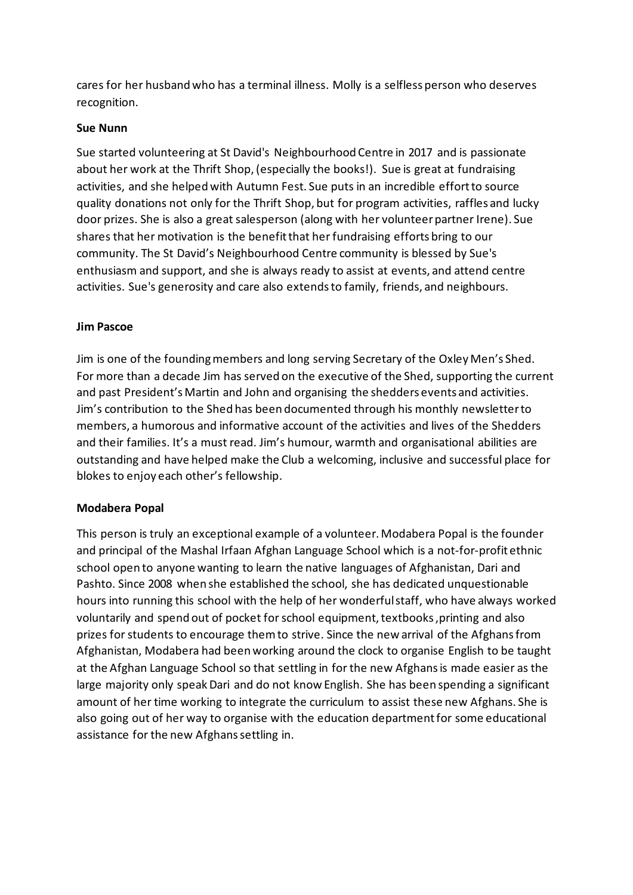cares for her husband who has a terminal illness. Molly is a selfless person who deserves recognition.

#### **Sue Nunn**

Sue started volunteering at St David's Neighbourhood Centre in 2017 and is passionate about her work at the Thrift Shop, (especially the books!). Sue is great at fundraising activities, and she helped with Autumn Fest. Sue puts in an incredible effort to source quality donations not only for the Thrift Shop, but for program activities, raffles and lucky door prizes. She is also a great salesperson (along with her volunteer partner Irene). Sue shares that her motivation is the benefit that her fundraising efforts bring to our community. The St David's Neighbourhood Centre community is blessed by Sue's enthusiasm and support, and she is always ready to assist at events, and attend centre activities. Sue's generosity and care also extends to family, friends, and neighbours.

#### **Jim Pascoe**

Jim is one of the founding members and long serving Secretary of the Oxley Men's Shed. For more than a decade Jim has served on the executive of the Shed, supporting the current and past President's Martin and John and organising the shedders events and activities. Jim's contribution to the Shed has been documented through his monthly newsletter to members, a humorous and informative account of the activities and lives of the Shedders and their families. It's a must read. Jim's humour, warmth and organisational abilities are outstanding and have helped make the Club a welcoming, inclusive and successful place for blokes to enjoy each other's fellowship.

#### **Modabera Popal**

This person is truly an exceptional example of a volunteer. Modabera Popal is the founder and principal of the Mashal Irfaan Afghan Language School which is a not-for-profit ethnic school open to anyone wanting to learn the native languages of Afghanistan, Dari and Pashto. Since 2008 when she established the school, she has dedicated unquestionable hours into running this school with the help of her wonderful staff, who have always worked voluntarily and spend out of pocket for school equipment, textbooks ,printing and also prizes for students to encourage them to strive. Since the new arrival of the Afghans from Afghanistan, Modabera had been working around the clock to organise English to be taught at the Afghan Language School so that settling in for the new Afghans is made easier as the large majority only speak Dari and do not know English. She has been spending a significant amount of her time working to integrate the curriculum to assist these new Afghans. She is also going out of her way to organise with the education department for some educational assistance for the new Afghans settling in.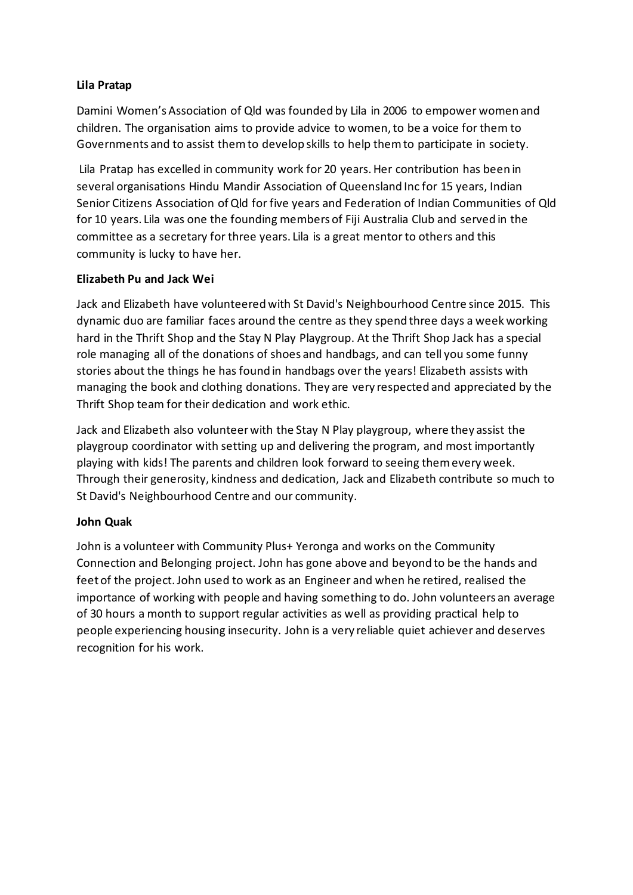## **Lila Pratap**

Damini Women's Association of Qld was founded by Lila in 2006 to empower women and children. The organisation aims to provide advice to women, to be a voice for them to Governments and to assist them to develop skills to help them to participate in society.

Lila Pratap has excelled in community work for 20 years. Her contribution has been in several organisations Hindu Mandir Association of Queensland Inc for 15 years, Indian Senior Citizens Association of Qld for five years and Federation of Indian Communities of Qld for 10 years. Lila was one the founding members of Fiji Australia Club and served in the committee as a secretary for three years. Lila is a great mentor to others and this community is lucky to have her.

# **Elizabeth Pu and Jack Wei**

Jack and Elizabeth have volunteered with St David's Neighbourhood Centre since 2015. This dynamic duo are familiar faces around the centre as they spend three days a week working hard in the Thrift Shop and the Stay N Play Playgroup. At the Thrift Shop Jack has a special role managing all of the donations of shoes and handbags, and can tell you some funny stories about the things he has found in handbags over the years! Elizabeth assists with managing the book and clothing donations. They are very respected and appreciated by the Thrift Shop team for their dedication and work ethic.

Jack and Elizabeth also volunteer with the Stay N Play playgroup, where they assist the playgroup coordinator with setting up and delivering the program, and most importantly playing with kids! The parents and children look forward to seeing them every week. Through their generosity, kindness and dedication, Jack and Elizabeth contribute so much to St David's Neighbourhood Centre and our community.

## **John Quak**

John is a volunteer with Community Plus+ Yeronga and works on the Community Connection and Belonging project. John has gone above and beyond to be the hands and feet of the project. John used to work as an Engineer and when he retired, realised the importance of working with people and having something to do. John volunteers an average of 30 hours a month to support regular activities as well as providing practical help to people experiencing housing insecurity. John is a very reliable quiet achiever and deserves recognition for his work.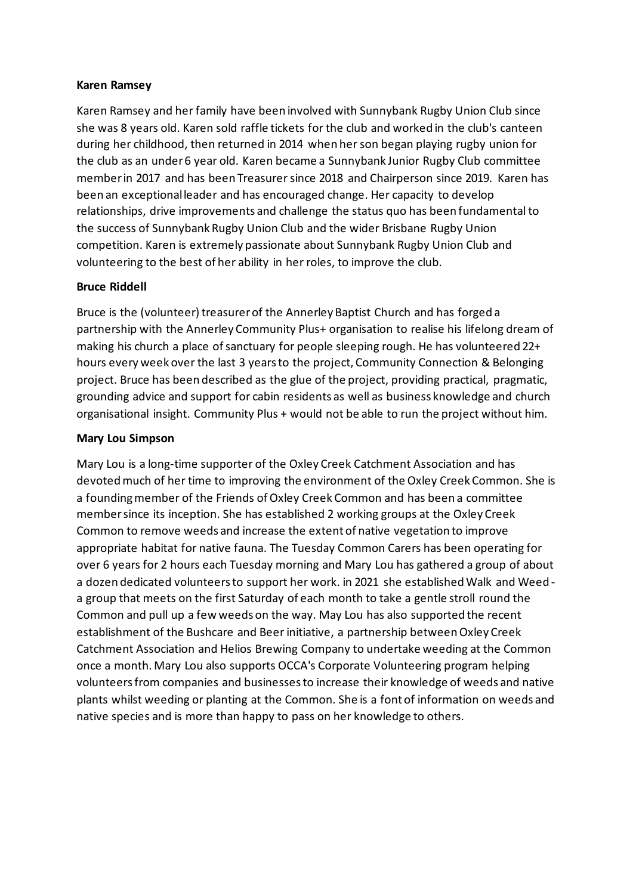#### **Karen Ramsey**

Karen Ramsey and her family have been involved with Sunnybank Rugby Union Club since she was 8 years old. Karen sold raffle tickets for the club and worked in the club's canteen during her childhood, then returned in 2014 when her son began playing rugby union for the club as an under 6 year old. Karen became a Sunnybank Junior Rugby Club committee member in 2017 and has been Treasurer since 2018 and Chairperson since 2019. Karen has been an exceptional leader and has encouraged change. Her capacity to develop relationships, drive improvements and challenge the status quo has been fundamental to the success of Sunnybank Rugby Union Club and the wider Brisbane Rugby Union competition. Karen is extremely passionate about Sunnybank Rugby Union Club and volunteering to the best of her ability in her roles, to improve the club.

#### **Bruce Riddell**

Bruce is the (volunteer) treasurer of the Annerley Baptist Church and has forged a partnership with the Annerley Community Plus+ organisation to realise his lifelong dream of making his church a place of sanctuary for people sleeping rough. He has volunteered 22+ hours every week over the last 3 years to the project, Community Connection & Belonging project. Bruce has been described as the glue of the project, providing practical, pragmatic, grounding advice and support for cabin residents as well as business knowledge and church organisational insight. Community Plus + would not be able to run the project without him.

#### **Mary Lou Simpson**

Mary Lou is a long-time supporter of the Oxley Creek Catchment Association and has devoted much of her time to improving the environment of the Oxley Creek Common. She is a founding member of the Friends of Oxley Creek Common and has been a committee member since its inception. She has established 2 working groups at the Oxley Creek Common to remove weeds and increase the extent of native vegetation to improve appropriate habitat for native fauna. The Tuesday Common Carers has been operating for over 6 years for 2 hours each Tuesday morning and Mary Lou has gathered a group of about a dozen dedicated volunteers to support her work. in 2021 she established Walk and Weed a group that meets on the first Saturday of each month to take a gentle stroll round the Common and pull up a few weeds on the way. May Lou has also supported the recent establishment of the Bushcare and Beer initiative, a partnership between Oxley Creek Catchment Association and Helios Brewing Company to undertake weeding at the Common once a month. Mary Lou also supports OCCA's Corporate Volunteering program helping volunteers from companies and businesses to increase their knowledge of weeds and native plants whilst weeding or planting at the Common. She is a font of information on weeds and native species and is more than happy to pass on her knowledge to others.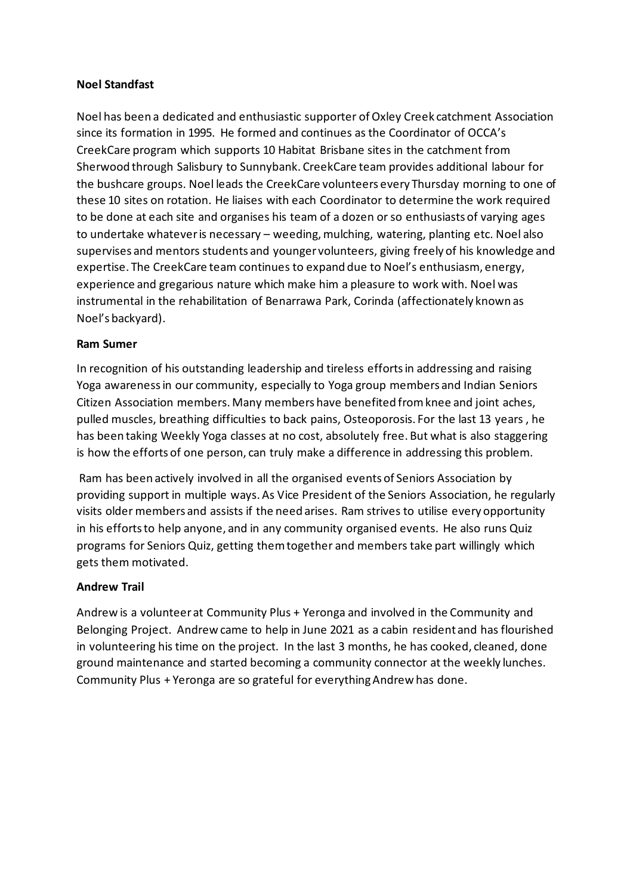#### **Noel Standfast**

Noel has been a dedicated and enthusiastic supporter of Oxley Creek catchment Association since its formation in 1995. He formed and continues as the Coordinator of OCCA's CreekCare program which supports 10 Habitat Brisbane sites in the catchment from Sherwood through Salisbury to Sunnybank. CreekCare team provides additional labour for the bushcare groups. Noel leads the CreekCare volunteers every Thursday morning to one of these 10 sites on rotation. He liaises with each Coordinator to determine the work required to be done at each site and organises his team of a dozen or so enthusiasts of varying ages to undertake whatever is necessary – weeding, mulching, watering, planting etc. Noel also supervises and mentors students and younger volunteers, giving freely of his knowledge and expertise. The CreekCare team continues to expand due to Noel's enthusiasm, energy, experience and gregarious nature which make him a pleasure to work with. Noel was instrumental in the rehabilitation of Benarrawa Park, Corinda (affectionately known as Noel's backyard).

#### **Ram Sumer**

In recognition of his outstanding leadership and tireless efforts in addressing and raising Yoga awareness in our community, especially to Yoga group members and Indian Seniors Citizen Association members. Many members have benefited from knee and joint aches, pulled muscles, breathing difficulties to back pains, Osteoporosis. For the last 13 years , he has been taking Weekly Yoga classes at no cost, absolutely free. But what is also staggering is how the efforts of one person, can truly make a difference in addressing this problem.

Ram has been actively involved in all the organised events of Seniors Association by providing support in multiple ways. As Vice President of the Seniors Association, he regularly visits older members and assists if the need arises. Ram strives to utilise every opportunity in his efforts to help anyone, and in any community organised events. He also runs Quiz programs for Seniors Quiz, getting them together and members take part willingly which gets them motivated.

## **Andrew Trail**

Andrew is a volunteer at Community Plus + Yeronga and involved in the Community and Belonging Project. Andrew came to help in June 2021 as a cabin resident and has flourished in volunteering his time on the project. In the last 3 months, he has cooked, cleaned, done ground maintenance and started becoming a community connector at the weekly lunches. Community Plus + Yeronga are so grateful for everything Andrew has done.